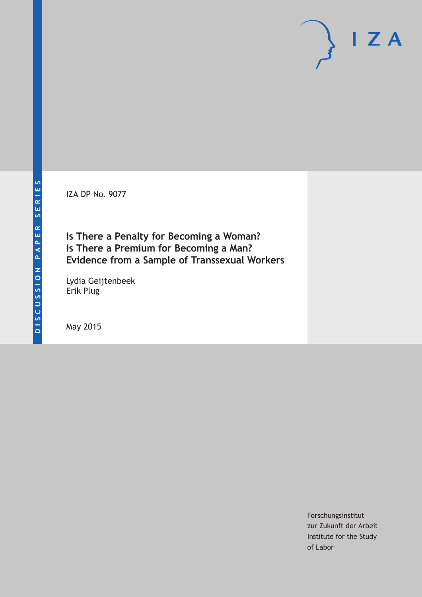IZA DP No. 9077

**Is There a Penalty for Becoming a Woman? Is There a Premium for Becoming a Man? Evidence from a Sample of Transsexual Workers**

Lydia Geijtenbeek Erik Plug

May 2015

Forschungsinstitut zur Zukunft der Arbeit Institute for the Study of Labor

 $I Z A$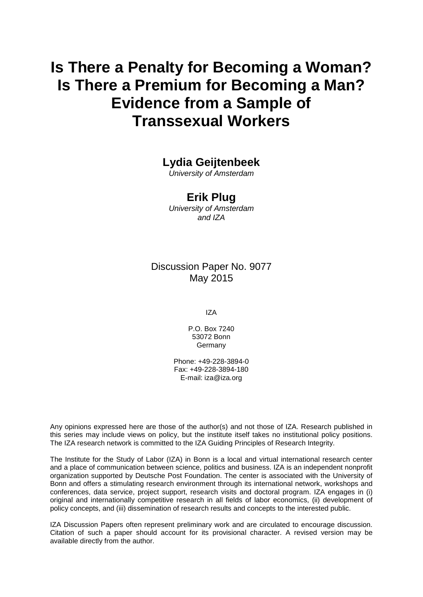# **Is There a Penalty for Becoming a Woman? Is There a Premium for Becoming a Man? Evidence from a Sample of Transsexual Workers**

### **Lydia Geijtenbeek**

*University of Amsterdam*

### **Erik Plug**

*University of Amsterdam and IZA*

### Discussion Paper No. 9077 May 2015

IZA

P.O. Box 7240 53072 Bonn **Germany** 

Phone: +49-228-3894-0 Fax: +49-228-3894-180 E-mail: iza@iza.org

Any opinions expressed here are those of the author(s) and not those of IZA. Research published in this series may include views on policy, but the institute itself takes no institutional policy positions. The IZA research network is committed to the IZA Guiding Principles of Research Integrity.

The Institute for the Study of Labor (IZA) in Bonn is a local and virtual international research center and a place of communication between science, politics and business. IZA is an independent nonprofit organization supported by Deutsche Post Foundation. The center is associated with the University of Bonn and offers a stimulating research environment through its international network, workshops and conferences, data service, project support, research visits and doctoral program. IZA engages in (i) original and internationally competitive research in all fields of labor economics, (ii) development of policy concepts, and (iii) dissemination of research results and concepts to the interested public.

<span id="page-1-0"></span>IZA Discussion Papers often represent preliminary work and are circulated to encourage discussion. Citation of such a paper should account for its provisional character. A revised version may be available directly from the author.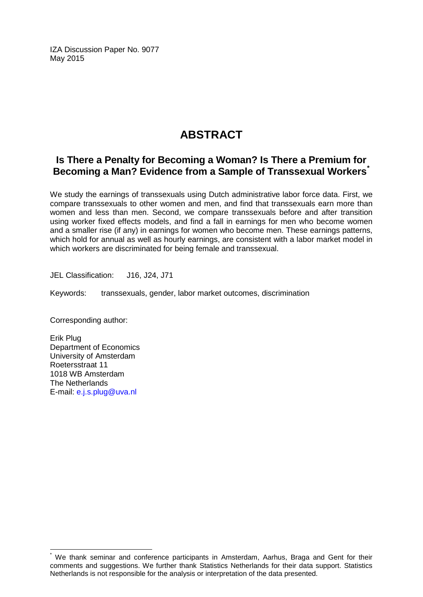IZA Discussion Paper No. 9077 May 2015

## **ABSTRACT**

### **Is There a Penalty for Becoming a Woman? Is There a Premium for Becoming a Man? Evidence from a Sample of Transsexual Workers[\\*](#page-1-0)**

We study the earnings of transsexuals using Dutch administrative labor force data. First, we compare transsexuals to other women and men, and find that transsexuals earn more than women and less than men. Second, we compare transsexuals before and after transition using worker fixed effects models, and find a fall in earnings for men who become women and a smaller rise (if any) in earnings for women who become men. These earnings patterns, which hold for annual as well as hourly earnings, are consistent with a labor market model in which workers are discriminated for being female and transsexual.

JEL Classification: J16, J24, J71

Keywords: transsexuals, gender, labor market outcomes, discrimination

Corresponding author:

Erik Plug Department of Economics University of Amsterdam Roetersstraat 11 1018 WB Amsterdam The Netherlands E-mail: [e.j.s.plug@uva.nl](mailto:e.j.s.plug@uva.nl)

We thank seminar and conference participants in Amsterdam, Aarhus, Braga and Gent for their comments and suggestions. We further thank Statistics Netherlands for their data support. Statistics Netherlands is not responsible for the analysis or interpretation of the data presented.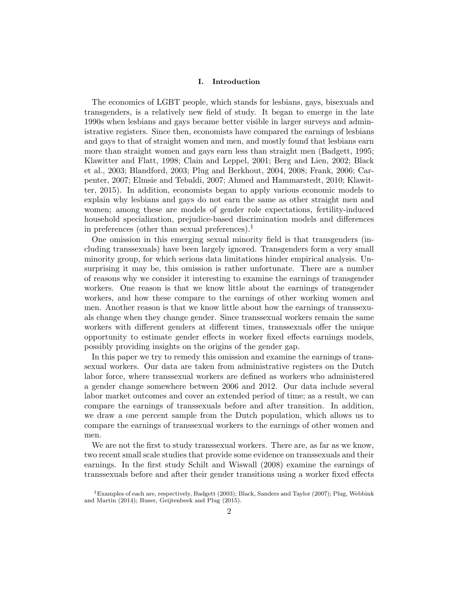#### I. Introduction

The economics of LGBT people, which stands for lesbians, gays, bisexuals and transgenders, is a relatively new field of study. It began to emerge in the late 1990s when lesbians and gays became better visible in larger surveys and administrative registers. Since then, economists have compared the earnings of lesbians and gays to that of straight women and men, and mostly found that lesbians earn more than straight women and gays earn less than straight men (Badgett, 1995; Klawitter and Flatt, 1998; Clain and Leppel, 2001; Berg and Lien, 2002; Black et al., 2003; Blandford, 2003; Plug and Berkhout, 2004, 2008; Frank, 2006; Carpenter, 2007; Elmsie and Tebaldi, 2007; Ahmed and Hammarstedt, 2010; Klawitter, 2015). In addition, economists began to apply various economic models to explain why lesbians and gays do not earn the same as other straight men and women; among these are models of gender role expectations, fertility-induced household specialization, prejudice-based discrimination models and differences in preferences (other than sexual preferences).<sup>1</sup>

One omission in this emerging sexual minority field is that transgenders (including transsexuals) have been largely ignored. Transgenders form a very small minority group, for which serious data limitations hinder empirical analysis. Unsurprising it may be, this omission is rather unfortunate. There are a number of reasons why we consider it interesting to examine the earnings of transgender workers. One reason is that we know little about the earnings of transgender workers, and how these compare to the earnings of other working women and men. Another reason is that we know little about how the earnings of transsexuals change when they change gender. Since transsexual workers remain the same workers with different genders at different times, transsexuals offer the unique opportunity to estimate gender effects in worker fixed effects earnings models, possibly providing insights on the origins of the gender gap.

In this paper we try to remedy this omission and examine the earnings of transsexual workers. Our data are taken from administrative registers on the Dutch labor force, where transsexual workers are defined as workers who administered a gender change somewhere between 2006 and 2012. Our data include several labor market outcomes and cover an extended period of time; as a result, we can compare the earnings of transsexuals before and after transition. In addition, we draw a one percent sample from the Dutch population, which allows us to compare the earnings of transsexual workers to the earnings of other women and men.

We are not the first to study transsexual workers. There are, as far as we know, two recent small scale studies that provide some evidence on transsexuals and their earnings. In the first study Schilt and Wiswall (2008) examine the earnings of transsexuals before and after their gender transitions using a worker fixed effects

<sup>1</sup>Examples of each are, respectively, Badgett (2003); Black, Sanders and Taylor (2007); Plug, Webbink and Martin (2014); Buser, Geijtenbeek and Plug (2015).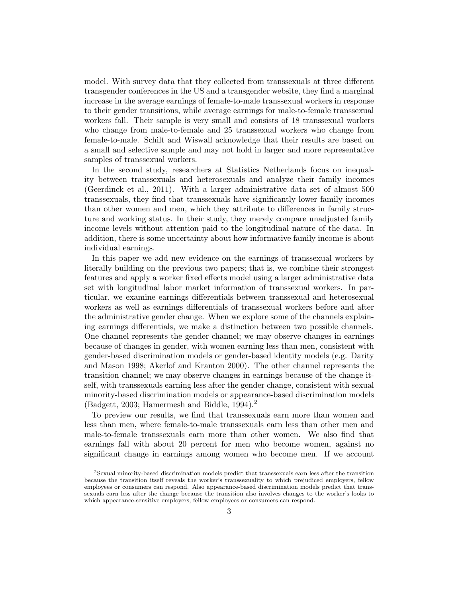model. With survey data that they collected from transsexuals at three different transgender conferences in the US and a transgender website, they find a marginal increase in the average earnings of female-to-male transsexual workers in response to their gender transitions, while average earnings for male-to-female transsexual workers fall. Their sample is very small and consists of 18 transsexual workers who change from male-to-female and 25 transsexual workers who change from female-to-male. Schilt and Wiswall acknowledge that their results are based on a small and selective sample and may not hold in larger and more representative samples of transsexual workers.

In the second study, researchers at Statistics Netherlands focus on inequality between transsexuals and heterosexuals and analyze their family incomes (Geerdinck et al., 2011). With a larger administrative data set of almost 500 transsexuals, they find that transsexuals have significantly lower family incomes than other women and men, which they attribute to differences in family structure and working status. In their study, they merely compare unadjusted family income levels without attention paid to the longitudinal nature of the data. In addition, there is some uncertainty about how informative family income is about individual earnings.

In this paper we add new evidence on the earnings of transsexual workers by literally building on the previous two papers; that is, we combine their strongest features and apply a worker fixed effects model using a larger administrative data set with longitudinal labor market information of transsexual workers. In particular, we examine earnings differentials between transsexual and heterosexual workers as well as earnings differentials of transsexual workers before and after the administrative gender change. When we explore some of the channels explaining earnings differentials, we make a distinction between two possible channels. One channel represents the gender channel; we may observe changes in earnings because of changes in gender, with women earning less than men, consistent with gender-based discrimination models or gender-based identity models (e.g. Darity and Mason 1998; Akerlof and Kranton 2000). The other channel represents the transition channel; we may observe changes in earnings because of the change itself, with transsexuals earning less after the gender change, consistent with sexual minority-based discrimination models or appearance-based discrimination models (Badgett, 2003; Hamermesh and Biddle, 1994).<sup>2</sup>

To preview our results, we find that transsexuals earn more than women and less than men, where female-to-male transsexuals earn less than other men and male-to-female transsexuals earn more than other women. We also find that earnings fall with about 20 percent for men who become women, against no significant change in earnings among women who become men. If we account

<sup>2</sup>Sexual minority-based discrimination models predict that transsexuals earn less after the transition because the transition itself reveals the worker's transsexuality to which prejudiced employers, fellow employees or consumers can respond. Also appearance-based discrimination models predict that transsexuals earn less after the change because the transition also involves changes to the worker's looks to which appearance-sensitive employers, fellow employees or consumers can respond.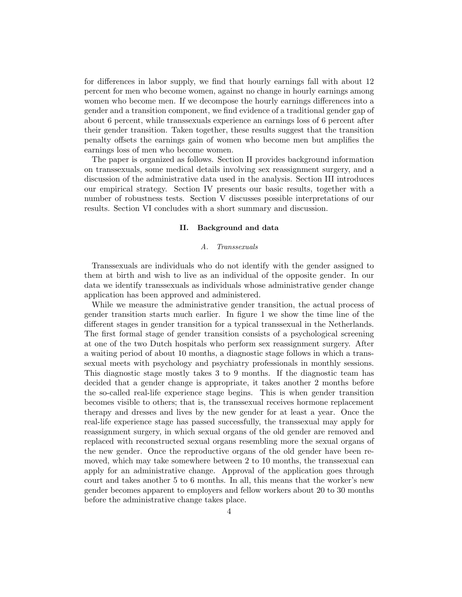for differences in labor supply, we find that hourly earnings fall with about 12 percent for men who become women, against no change in hourly earnings among women who become men. If we decompose the hourly earnings differences into a gender and a transition component, we find evidence of a traditional gender gap of about 6 percent, while transsexuals experience an earnings loss of 6 percent after their gender transition. Taken together, these results suggest that the transition penalty offsets the earnings gain of women who become men but amplifies the earnings loss of men who become women.

The paper is organized as follows. Section II provides background information on transsexuals, some medical details involving sex reassignment surgery, and a discussion of the administrative data used in the analysis. Section III introduces our empirical strategy. Section IV presents our basic results, together with a number of robustness tests. Section V discusses possible interpretations of our results. Section VI concludes with a short summary and discussion.

#### II. Background and data

#### A. Transsexuals

Transsexuals are individuals who do not identify with the gender assigned to them at birth and wish to live as an individual of the opposite gender. In our data we identify transsexuals as individuals whose administrative gender change application has been approved and administered.

While we measure the administrative gender transition, the actual process of gender transition starts much earlier. In figure 1 we show the time line of the different stages in gender transition for a typical transsexual in the Netherlands. The first formal stage of gender transition consists of a psychological screening at one of the two Dutch hospitals who perform sex reassignment surgery. After a waiting period of about 10 months, a diagnostic stage follows in which a transsexual meets with psychology and psychiatry professionals in monthly sessions. This diagnostic stage mostly takes 3 to 9 months. If the diagnostic team has decided that a gender change is appropriate, it takes another 2 months before the so-called real-life experience stage begins. This is when gender transition becomes visible to others; that is, the transsexual receives hormone replacement therapy and dresses and lives by the new gender for at least a year. Once the real-life experience stage has passed successfully, the transsexual may apply for reassignment surgery, in which sexual organs of the old gender are removed and replaced with reconstructed sexual organs resembling more the sexual organs of the new gender. Once the reproductive organs of the old gender have been removed, which may take somewhere between 2 to 10 months, the transsexual can apply for an administrative change. Approval of the application goes through court and takes another 5 to 6 months. In all, this means that the worker's new gender becomes apparent to employers and fellow workers about 20 to 30 months before the administrative change takes place.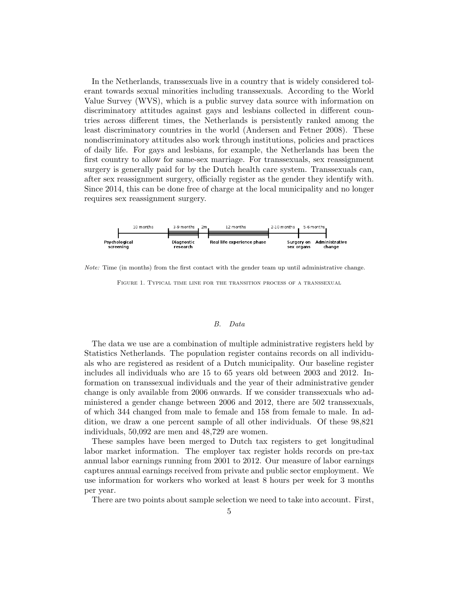In the Netherlands, transsexuals live in a country that is widely considered tolerant towards sexual minorities including transsexuals. According to the World Value Survey (WVS), which is a public survey data source with information on discriminatory attitudes against gays and lesbians collected in different countries across different times, the Netherlands is persistently ranked among the least discriminatory countries in the world (Andersen and Fetner 2008). These nondiscriminatory attitudes also work through institutions, policies and practices of daily life. For gays and lesbians, for example, the Netherlands has been the first country to allow for same-sex marriage. For transsexuals, sex reassignment surgery is generally paid for by the Dutch health care system. Transsexuals can, after sex reassignment surgery, officially register as the gender they identify with. Since 2014, this can be done free of charge at the local municipality and no longer requires sex reassignment surgery.



Note: Time (in months) from the first contact with the gender team up until administrative change.

Figure 1. Typical time line for the transition process of a transsexual

#### B. Data

The data we use are a combination of multiple administrative registers held by Statistics Netherlands. The population register contains records on all individuals who are registered as resident of a Dutch municipality. Our baseline register includes all individuals who are 15 to 65 years old between 2003 and 2012. Information on transsexual individuals and the year of their administrative gender change is only available from 2006 onwards. If we consider transsexuals who administered a gender change between 2006 and 2012, there are 502 transsexuals, of which 344 changed from male to female and 158 from female to male. In addition, we draw a one percent sample of all other individuals. Of these 98,821 individuals, 50,092 are men and 48,729 are women.

These samples have been merged to Dutch tax registers to get longitudinal labor market information. The employer tax register holds records on pre-tax annual labor earnings running from 2001 to 2012. Our measure of labor earnings captures annual earnings received from private and public sector employment. We use information for workers who worked at least 8 hours per week for 3 months per year.

There are two points about sample selection we need to take into account. First,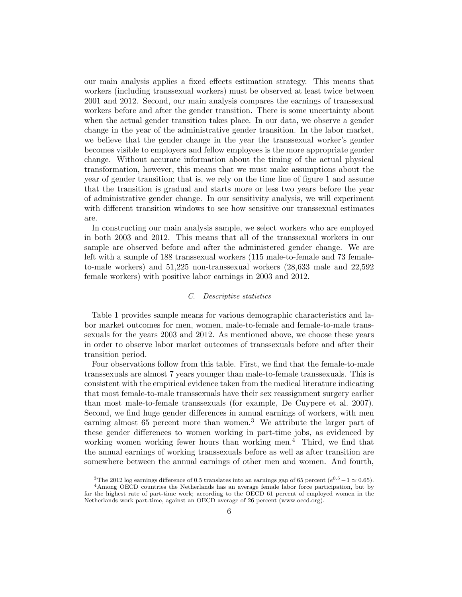our main analysis applies a fixed effects estimation strategy. This means that workers (including transsexual workers) must be observed at least twice between 2001 and 2012. Second, our main analysis compares the earnings of transsexual workers before and after the gender transition. There is some uncertainty about when the actual gender transition takes place. In our data, we observe a gender change in the year of the administrative gender transition. In the labor market, we believe that the gender change in the year the transsexual worker's gender becomes visible to employers and fellow employees is the more appropriate gender change. Without accurate information about the timing of the actual physical transformation, however, this means that we must make assumptions about the year of gender transition; that is, we rely on the time line of figure 1 and assume that the transition is gradual and starts more or less two years before the year of administrative gender change. In our sensitivity analysis, we will experiment with different transition windows to see how sensitive our transsexual estimates are.

In constructing our main analysis sample, we select workers who are employed in both 2003 and 2012. This means that all of the transsexual workers in our sample are observed before and after the administered gender change. We are left with a sample of 188 transsexual workers (115 male-to-female and 73 femaleto-male workers) and 51,225 non-transsexual workers (28,633 male and 22,592 female workers) with positive labor earnings in 2003 and 2012.

#### C. Descriptive statistics

Table 1 provides sample means for various demographic characteristics and labor market outcomes for men, women, male-to-female and female-to-male transsexuals for the years 2003 and 2012. As mentioned above, we choose these years in order to observe labor market outcomes of transsexuals before and after their transition period.

Four observations follow from this table. First, we find that the female-to-male transsexuals are almost 7 years younger than male-to-female transsexuals. This is consistent with the empirical evidence taken from the medical literature indicating that most female-to-male transsexuals have their sex reassignment surgery earlier than most male-to-female transsexuals (for example, De Cuypere et al. 2007). Second, we find huge gender differences in annual earnings of workers, with men earning almost 65 percent more than women.<sup>3</sup> We attribute the larger part of these gender differences to women working in part-time jobs, as evidenced by working women working fewer hours than working men.<sup>4</sup> Third, we find that the annual earnings of working transsexuals before as well as after transition are somewhere between the annual earnings of other men and women. And fourth,

<sup>&</sup>lt;sup>3</sup>The 2012 log earnings difference of 0.5 translates into an earnings gap of 65 percent ( $e^{0.5} - 1 \simeq 0.65$ ).

<sup>4</sup>Among OECD countries the Netherlands has an average female labor force participation, but by far the highest rate of part-time work; according to the OECD 61 percent of employed women in the Netherlands work part-time, against an OECD average of 26 percent (www.oecd.org).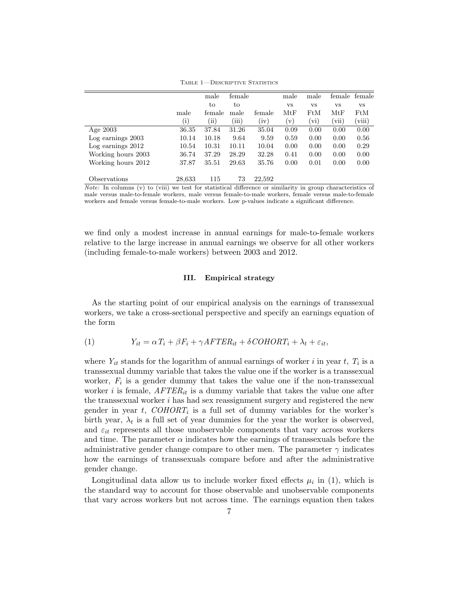|                    |          | male       | female |           | male      | male      | female    | female    |
|--------------------|----------|------------|--------|-----------|-----------|-----------|-----------|-----------|
|                    |          | to         | to     |           | <b>VS</b> | <b>VS</b> | <b>VS</b> | <b>VS</b> |
|                    | male     | female     | male   | female    | MtF       | FtM       | MtF       | FtM       |
|                    | $\rm(i)$ | $\rm (ii)$ | 'iii)  | $\rm iv)$ | (v)       | (vi)      | (vii)     | (viii)    |
| Age $2003$         | 36.35    | 37.84      | 31.26  | 35.04     | 0.09      | 0.00      | 0.00      | 0.00      |
| Log earnings 2003  | 10.14    | 10.18      | 9.64   | 9.59      | 0.59      | 0.00      | 0.00      | 0.56      |
| Log earnings 2012  | 10.54    | 10.31      | 10.11  | 10.04     | 0.00      | 0.00      | 0.00      | 0.29      |
| Working hours 2003 | 36.74    | 37.29      | 28.29  | 32.28     | 0.41      | 0.00      | 0.00      | 0.00      |
| Working hours 2012 | 37.87    | 35.51      | 29.63  | 35.76     | 0.00      | 0.01      | 0.00      | 0.00      |
| Observations       | 28,633   | 115        | 73     | 22,592    |           |           |           |           |

TABLE 1-DESCRIPTIVE STATISTICS

Note: In columns (v) to (viii) we test for statistical difference or similarity in group characteristics of male versus male-to-female workers, male versus female-to-male workers, female versus male-to-female workers and female versus female-to-male workers. Low p-values indicate a significant difference.

we find only a modest increase in annual earnings for male-to-female workers relative to the large increase in annual earnings we observe for all other workers (including female-to-male workers) between 2003 and 2012.

#### III. Empirical strategy

As the starting point of our empirical analysis on the earnings of transsexual workers, we take a cross-sectional perspective and specify an earnings equation of the form

(1) 
$$
Y_{it} = \alpha T_i + \beta F_i + \gamma A F T E R_{it} + \delta CO H O R T_i + \lambda_t + \varepsilon_{it},
$$

where  $Y_{it}$  stands for the logarithm of annual earnings of worker i in year t,  $T_i$  is a transsexual dummy variable that takes the value one if the worker is a transsexual worker,  $F_i$  is a gender dummy that takes the value one if the non-transsexual worker i is female,  $AFTER_{it}$  is a dummy variable that takes the value one after the transsexual worker  $i$  has had sex reassignment surgery and registered the new gender in year t,  $COHORT_i$  is a full set of dummy variables for the worker's birth year,  $\lambda_t$  is a full set of year dummies for the year the worker is observed, and  $\varepsilon_{it}$  represents all those unobservable components that vary across workers and time. The parameter  $\alpha$  indicates how the earnings of transsexuals before the administrative gender change compare to other men. The parameter  $\gamma$  indicates how the earnings of transsexuals compare before and after the administrative gender change.

Longitudinal data allow us to include worker fixed effects  $\mu_i$  in (1), which is the standard way to account for those observable and unobservable components that vary across workers but not across time. The earnings equation then takes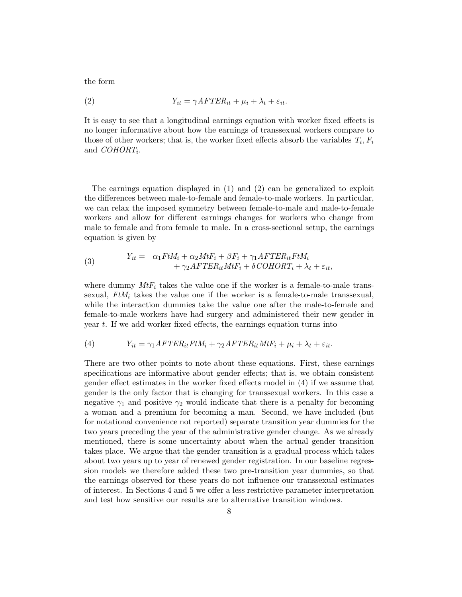the form

(2) 
$$
Y_{it} = \gamma A F T E R_{it} + \mu_i + \lambda_t + \varepsilon_{it}.
$$

It is easy to see that a longitudinal earnings equation with worker fixed effects is no longer informative about how the earnings of transsexual workers compare to those of other workers; that is, the worker fixed effects absorb the variables  $T_i$ ,  $F_i$ and  $\textit{COHORT}_i$ .

The earnings equation displayed in (1) and (2) can be generalized to exploit the differences between male-to-female and female-to-male workers. In particular, we can relax the imposed symmetry between female-to-male and male-to-female workers and allow for different earnings changes for workers who change from male to female and from female to male. In a cross-sectional setup, the earnings equation is given by

(3) 
$$
Y_{it} = \alpha_1 F t M_i + \alpha_2 M t F_i + \beta F_i + \gamma_1 A F T E R_{it} F t M_i + \gamma_2 A F T E R_{it} M t F_i + \delta CO H O R T_i + \lambda_t + \varepsilon_{it},
$$

where dummy  $MtF_i$  takes the value one if the worker is a female-to-male transsexual,  $FtM_i$  takes the value one if the worker is a female-to-male transsexual, while the interaction dummies take the value one after the male-to-female and female-to-male workers have had surgery and administered their new gender in year t. If we add worker fixed effects, the earnings equation turns into

(4) 
$$
Y_{it} = \gamma_1 A F T E R_{it} F t M_i + \gamma_2 A F T E R_{it} M t F_i + \mu_i + \lambda_t + \varepsilon_{it}.
$$

There are two other points to note about these equations. First, these earnings specifications are informative about gender effects; that is, we obtain consistent gender effect estimates in the worker fixed effects model in (4) if we assume that gender is the only factor that is changing for transsexual workers. In this case a negative  $\gamma_1$  and positive  $\gamma_2$  would indicate that there is a penalty for becoming a woman and a premium for becoming a man. Second, we have included (but for notational convenience not reported) separate transition year dummies for the two years preceding the year of the administrative gender change. As we already mentioned, there is some uncertainty about when the actual gender transition takes place. We argue that the gender transition is a gradual process which takes about two years up to year of renewed gender registration. In our baseline regression models we therefore added these two pre-transition year dummies, so that the earnings observed for these years do not influence our transsexual estimates of interest. In Sections 4 and 5 we offer a less restrictive parameter interpretation and test how sensitive our results are to alternative transition windows.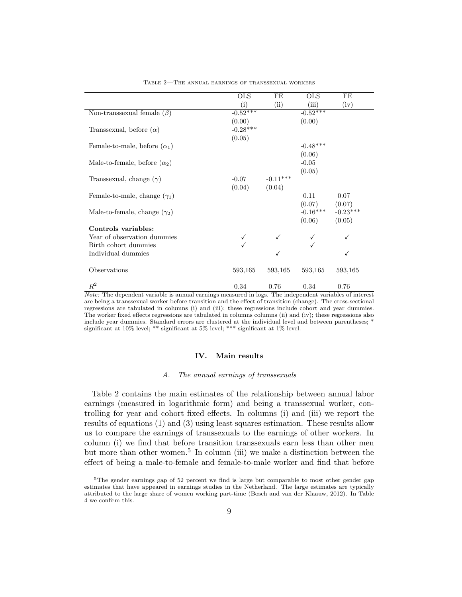| <b>OLS</b> | FE      | <b>OLS</b>         | FE                                                                                                                                  |
|------------|---------|--------------------|-------------------------------------------------------------------------------------------------------------------------------------|
| (i)        |         | (iii)              | (iv)                                                                                                                                |
| $-0.52***$ |         | $-0.52***$         |                                                                                                                                     |
| (0.00)     |         | (0.00)             |                                                                                                                                     |
| $-0.28***$ |         |                    |                                                                                                                                     |
| (0.05)     |         |                    |                                                                                                                                     |
|            |         |                    |                                                                                                                                     |
|            |         | (0.06)             |                                                                                                                                     |
|            |         | $-0.05$            |                                                                                                                                     |
|            |         | (0.05)             |                                                                                                                                     |
| $-0.07$    |         |                    |                                                                                                                                     |
| (0.04)     | (0.04)  |                    |                                                                                                                                     |
|            |         | 0.11               | 0.07                                                                                                                                |
|            |         | (0.07)             | (0.07)                                                                                                                              |
|            |         |                    | $-0.23***$                                                                                                                          |
|            |         | (0.06)             | (0.05)                                                                                                                              |
|            |         |                    |                                                                                                                                     |
|            |         |                    |                                                                                                                                     |
|            |         |                    |                                                                                                                                     |
|            | ✓       |                    |                                                                                                                                     |
|            |         |                    |                                                                                                                                     |
| 593,165    | 593,165 | 593,165            | 593,165                                                                                                                             |
|            |         |                    |                                                                                                                                     |
| 0.34       | 0.76    | 0.34               | 0.76                                                                                                                                |
|            |         | (ii)<br>$-0.11***$ | $-0.48***$<br>$-0.16***$<br>Note: The dependent variable is annual earnings measured in logs. The independent variables of interest |

Table 2—The annual earnings of transsexual workers

Note: The dependent variable is annual earnings measured in logs. The independent variables of interest are being a transsexual worker before transition and the effect of transition (change). The cross-sectional regressions are tabulated in columns (i) and (iii); these regressions include cohort and year dummies. The worker fixed effects regressions are tabulated in columns columns (ii) and (iv); these regressions also include year dummies. Standard errors are clustered at the individual level and between parentheses; \* significant at 10% level; \*\* significant at 5% level; \*\*\* significant at 1% level.

#### IV. Main results

#### A. The annual earnings of transsexuals

Table 2 contains the main estimates of the relationship between annual labor earnings (measured in logarithmic form) and being a transsexual worker, controlling for year and cohort fixed effects. In columns (i) and (iii) we report the results of equations (1) and (3) using least squares estimation. These results allow us to compare the earnings of transsexuals to the earnings of other workers. In column (i) we find that before transition transsexuals earn less than other men but more than other women.<sup>5</sup> In column (iii) we make a distinction between the effect of being a male-to-female and female-to-male worker and find that before

<sup>5</sup>The gender earnings gap of 52 percent we find is large but comparable to most other gender gap estimates that have appeared in earnings studies in the Netherland. The large estimates are typically attributed to the large share of women working part-time (Bosch and van der Klaauw, 2012). In Table 4 we confirm this.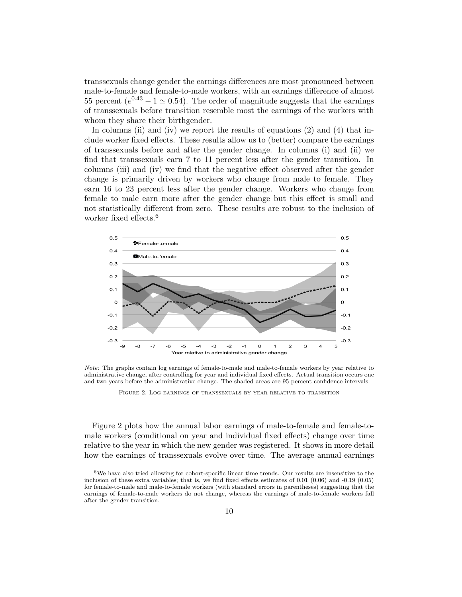transsexuals change gender the earnings differences are most pronounced between male-to-female and female-to-male workers, with an earnings difference of almost 55 percent ( $e^{0.43} - 1 \simeq 0.54$ ). The order of magnitude suggests that the earnings of transsexuals before transition resemble most the earnings of the workers with whom they share their birthgender.

In columns (ii) and (iv) we report the results of equations  $(2)$  and  $(4)$  that include worker fixed effects. These results allow us to (better) compare the earnings of transsexuals before and after the gender change. In columns (i) and (ii) we find that transsexuals earn 7 to 11 percent less after the gender transition. In columns (iii) and (iv) we find that the negative effect observed after the gender change is primarily driven by workers who change from male to female. They earn 16 to 23 percent less after the gender change. Workers who change from female to male earn more after the gender change but this effect is small and not statistically different from zero. These results are robust to the inclusion of worker fixed effects.<sup>6</sup>



Note: The graphs contain log earnings of female-to-male and male-to-female workers by year relative to administrative change, after controlling for year and individual fixed effects. Actual transition occurs one and two years before the administrative change. The shaded areas are 95 percent confidence intervals.

Figure 2. Log earnings of transsexuals by year relative to transition

Figure 2 plots how the annual labor earnings of male-to-female and female-tomale workers (conditional on year and individual fixed effects) change over time relative to the year in which the new gender was registered. It shows in more detail how the earnings of transsexuals evolve over time. The average annual earnings

 $6$ We have also tried allowing for cohort-specific linear time trends. Our results are insensitive to the inclusion of these extra variables; that is, we find fixed effects estimates of 0.01 (0.06) and -0.19 (0.05) for female-to-male and male-to-female workers (with standard errors in parentheses) suggesting that the earnings of female-to-male workers do not change, whereas the earnings of male-to-female workers fall after the gender transition.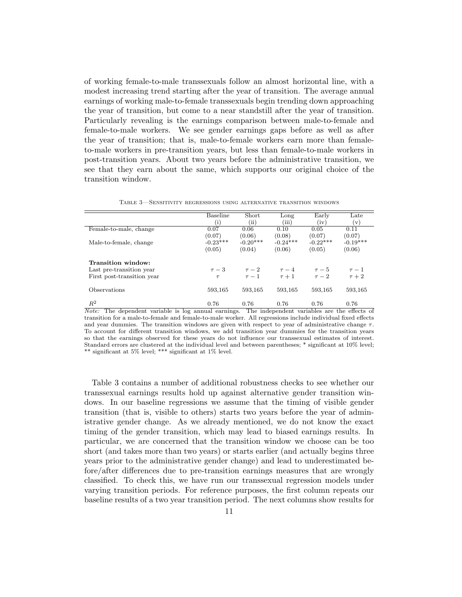of working female-to-male transsexuals follow an almost horizontal line, with a modest increasing trend starting after the year of transition. The average annual earnings of working male-to-female transsexuals begin trending down approaching the year of transition, but come to a near standstill after the year of transition. Particularly revealing is the earnings comparison between male-to-female and female-to-male workers. We see gender earnings gaps before as well as after the year of transition; that is, male-to-female workers earn more than femaleto-male workers in pre-transition years, but less than female-to-male workers in post-transition years. About two years before the administrative transition, we see that they earn about the same, which supports our original choice of the transition window.

|                            | <b>Baseline</b> | Short        | Long       | Early      | Late       |
|----------------------------|-----------------|--------------|------------|------------|------------|
|                            | (i)             | $\left($ ii) | (iii)      | (iv)       | (v)        |
| Female-to-male, change     | 0.07            | 0.06         | 0.10       | 0.05       | 0.11       |
|                            | (0.07)          | (0.06)       | (0.08)     | (0.07)     | (0.07)     |
| Male-to-female, change     | $-0.23***$      | $-0.20***$   | $-0.24***$ | $-0.22***$ | $-0.19***$ |
|                            | (0.05)          | (0.04)       | (0.06)     | (0.05)     | (0.06)     |
| Transition window:         |                 |              |            |            |            |
| Last pre-transition year   | $\tau-3$        | $\tau-2$     | $\tau-4$   | $\tau-5$   | $\tau-1$   |
| First post-transition year | $\tau$          | $\tau-1$     | $\tau+1$   | $\tau-2$   | $\tau+2$   |
| <b>Observations</b>        | 593,165         | 593.165      | 593.165    | 593.165    | 593,165    |
| $R^2$                      | 0.76            | 0.76         | 0.76       | 0.76       | 0.76       |

Table 3—Sensitivity regressions using alternative transition windows

Note: The dependent variable is log annual earnings. The independent variables are the effects of transition for a male-to-female and female-to-male worker. All regressions include individual fixed effects and year dummies. The transition windows are given with respect to year of administrative change  $\tau$ . To account for different transition windows, we add transition year dummies for the transition years so that the earnings observed for these years do not influence our transsexual estimates of interest. Standard errors are clustered at the individual level and between parentheses; \* significant at 10% level; \*\* significant at 5% level; \*\*\* significant at 1% level.

Table 3 contains a number of additional robustness checks to see whether our transsexual earnings results hold up against alternative gender transition windows. In our baseline regressions we assume that the timing of visible gender transition (that is, visible to others) starts two years before the year of administrative gender change. As we already mentioned, we do not know the exact timing of the gender transition, which may lead to biased earnings results. In particular, we are concerned that the transition window we choose can be too short (and takes more than two years) or starts earlier (and actually begins three years prior to the administrative gender change) and lead to underestimated before/after differences due to pre-transition earnings measures that are wrongly classified. To check this, we have run our transsexual regression models under varying transition periods. For reference purposes, the first column repeats our baseline results of a two year transition period. The next columns show results for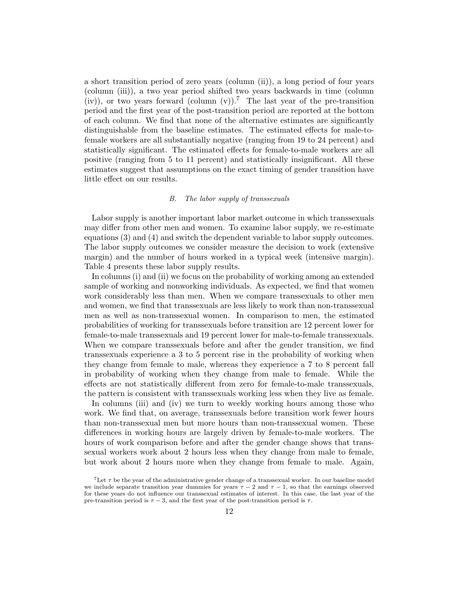a short transition period of zero years (column (ii)), a long period of four years (column (iii)), a two year period shifted two years backwards in time (column (iv)), or two years forward (column (y)).<sup>7</sup> The last year of the pre-transition period and the first year of the post-transition period are reported at the bottom of each column. We find that none of the alternative estimates are significantly distinguishable from the baseline estimates. The estimated effects for male-tofemale workers are all substantially negative (ranging from 19 to 24 percent) and statistically significant. The estimated effects for female-to-male workers are all positive (ranging from 5 to 11 percent) and statistically insignificant. All these estimates suggest that assumptions on the exact timing of gender transition have little effect on our results.

#### B. The labor supply of transsexuals

Labor supply is another important labor market outcome in which transsexuals may differ from other men and women. To examine labor supply, we re-estimate equations (3) and (4) and switch the dependent variable to labor supply outcomes. The labor supply outcomes we consider measure the decision to work (extensive margin) and the number of hours worked in a typical week (intensive margin). Table 4 presents these labor supply results.

In columns (i) and (ii) we focus on the probability of working among an extended sample of working and nonworking individuals. As expected, we find that women work considerably less than men. When we compare transsexuals to other men and women, we find that transsexuals are less likely to work than non-transsexual men as well as non-transsexual women. In comparison to men, the estimated probabilities of working for transsexuals before transition are 12 percent lower for female-to-male transsexuals and 19 percent lower for male-to-female transsexuals. When we compare transsexuals before and after the gender transition, we find transsexuals experience a 3 to 5 percent rise in the probability of working when they change from female to male, whereas they experience a 7 to 8 percent fall in probability of working when they change from male to female. While the effects are not statistically different from zero for female-to-male transsexuals, the pattern is consistent with transsexuals working less when they live as female.

In columns (iii) and (iv) we turn to weekly working hours among those who work. We find that, on average, transsexuals before transition work fewer hours than non-transsexual men but more hours than non-transsexual women. These differences in working hours are largely driven by female-to-male workers. The hours of work comparison before and after the gender change shows that transsexual workers work about 2 hours less when they change from male to female, but work about 2 hours more when they change from female to male. Again,

 $7$ Let  $\tau$  be the year of the administrative gender change of a transsexual worker. In our baseline model we include separate transition year dummies for years  $\tau - 2$  and  $\tau - 1$ , so that the earnings observed for these years do not influence our transsexual estimates of interest. In this case, the last year of the pre-transition period is  $\tau$  – 3, and the first year of the post-transition period is  $\tau$ .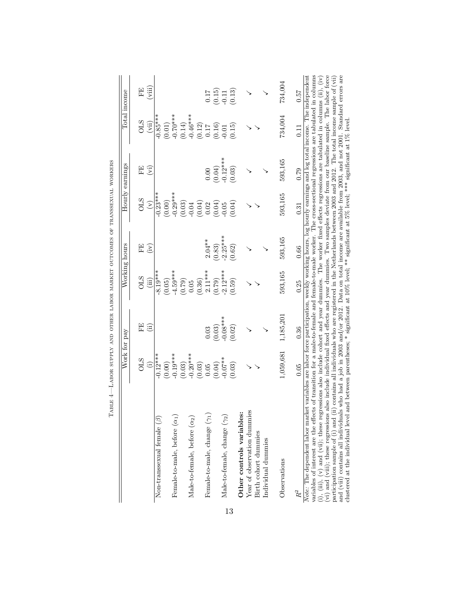|                                                                                                                                                                                                                                                                                                                                                                                                                                                                                                                                                                                                    | Work for pay                                                                                                           |            |            | Working hours                      |                | Hourly earnings        |                                    | Total income                                                     |
|----------------------------------------------------------------------------------------------------------------------------------------------------------------------------------------------------------------------------------------------------------------------------------------------------------------------------------------------------------------------------------------------------------------------------------------------------------------------------------------------------------------------------------------------------------------------------------------------------|------------------------------------------------------------------------------------------------------------------------|------------|------------|------------------------------------|----------------|------------------------|------------------------------------|------------------------------------------------------------------|
|                                                                                                                                                                                                                                                                                                                                                                                                                                                                                                                                                                                                    | STO                                                                                                                    | FE         | <b>OLS</b> | FE                                 | STO            | FE                     | <b>STO</b>                         | FE                                                               |
|                                                                                                                                                                                                                                                                                                                                                                                                                                                                                                                                                                                                    | $\hat{c}$                                                                                                              | (ii)       | (iii)      | (iv)                               | $\mathfrak{S}$ | (i)                    | (vii)                              | (iii)                                                            |
| Non-transsexual female $(\beta)$                                                                                                                                                                                                                                                                                                                                                                                                                                                                                                                                                                   | $-0.12***$                                                                                                             |            | $-8.19***$ |                                    | $-0.23***$     |                        | $-0.85***$                         |                                                                  |
|                                                                                                                                                                                                                                                                                                                                                                                                                                                                                                                                                                                                    | (0.00)                                                                                                                 |            | (0.05)     |                                    | (0.00)         |                        | $(0.01)$<br>-0.70***               |                                                                  |
| Female-to-male, before $(\alpha_1)$                                                                                                                                                                                                                                                                                                                                                                                                                                                                                                                                                                | $-0.19***$                                                                                                             |            | $-4.59***$ |                                    | $-0.29***$     |                        |                                    |                                                                  |
|                                                                                                                                                                                                                                                                                                                                                                                                                                                                                                                                                                                                    | (0.03)                                                                                                                 |            | (0.79)     |                                    | (0.03)         |                        | $(0.14)$<br>$-0.46***$<br>$(0.12)$ |                                                                  |
| $Male-to-female, before (\alpha_2)$                                                                                                                                                                                                                                                                                                                                                                                                                                                                                                                                                                | $0.20***$                                                                                                              |            | $0.05\,$   |                                    | $0.04$         |                        |                                    |                                                                  |
|                                                                                                                                                                                                                                                                                                                                                                                                                                                                                                                                                                                                    | (0.03)                                                                                                                 |            | (0.36)     |                                    | (0.04)         |                        |                                    |                                                                  |
| Female-to-male, change ( $\gamma_1$ )                                                                                                                                                                                                                                                                                                                                                                                                                                                                                                                                                              | $0.05\,$                                                                                                               | 0.03       | $2.11***$  | $2.04***$                          | 0.02           | 0.00                   |                                    |                                                                  |
|                                                                                                                                                                                                                                                                                                                                                                                                                                                                                                                                                                                                    | (0.04)                                                                                                                 | (0.03)     | (0.79)     |                                    | (0.04)         | $(0.04)$<br>$-0.12***$ | $(0.17)$<br>$(0.16)$<br>$-0.01$    |                                                                  |
| $\text{Male-to-female}, \text{change } (\gamma_2)$                                                                                                                                                                                                                                                                                                                                                                                                                                                                                                                                                 | $-0.07**$                                                                                                              | $-0.08***$ | $2.12***$  |                                    | 0.05           |                        |                                    |                                                                  |
|                                                                                                                                                                                                                                                                                                                                                                                                                                                                                                                                                                                                    | (0.03)                                                                                                                 | (0.02)     | (0.59)     | $(0.83)$<br>$-2.25***$<br>$(0.62)$ | (0.04)         | (0.03)                 | (0.15)                             | $\begin{array}{c} 0.17 \\ (0.15) \\ -0.11 \\ (0.13) \end{array}$ |
| Other controls variables:                                                                                                                                                                                                                                                                                                                                                                                                                                                                                                                                                                          |                                                                                                                        |            |            |                                    |                |                        |                                    |                                                                  |
| Year of observation dummies                                                                                                                                                                                                                                                                                                                                                                                                                                                                                                                                                                        |                                                                                                                        |            |            |                                    |                |                        |                                    |                                                                  |
| Birth cohort dummies                                                                                                                                                                                                                                                                                                                                                                                                                                                                                                                                                                               |                                                                                                                        |            |            |                                    |                |                        |                                    |                                                                  |
| Individual dummies                                                                                                                                                                                                                                                                                                                                                                                                                                                                                                                                                                                 |                                                                                                                        |            |            |                                    |                |                        |                                    |                                                                  |
| Observations                                                                                                                                                                                                                                                                                                                                                                                                                                                                                                                                                                                       | 1,059,681                                                                                                              | 1,185,201  | 593,165    | 593,165                            | 593,165        | 593,165                | 734,004                            | 734,004                                                          |
| $R^2$                                                                                                                                                                                                                                                                                                                                                                                                                                                                                                                                                                                              | 0.05                                                                                                                   | 0.36       | 0.25       | 0.66                               | 0.31           | 0.79                   | 0.11                               | 0.57                                                             |
| (i), (iii), (v) and (vii); these regressions also include cohort and year dummies. The worker fixed effects regressions are tabulated in columns (ii), (iv) and (vii); these regressions also include individual fixed effect<br>variables of interest are the effects of transition for a male-to-female and female-to-male worker. The cross-sectional regressions are tabulated in columns<br>Note: The dependent labor market variables are labor force participation, weekly working hours, log hourly earnings and log total income. The independent<br>participation sample of (i) and (ii) | contains all individuals who are registered in the Netherlands between 2003 and 2012. The total income sample of (vii) |            |            |                                    |                |                        |                                    |                                                                  |
| clustered at the individual level and between parentheses; $*$ significant at 10% level; $**$ significant at $5\%$ level; $***$ significant at 1% level<br>and (viii) contains all individuals                                                                                                                                                                                                                                                                                                                                                                                                     | who had a job in 2003 and/or 2012. Data on total income are available from 2003, and not 2001. Standard errors are     |            |            |                                    |                |                        |                                    |                                                                  |

TABLE 4-LABOR SUPPLY AND OTHER LABOR MARKET OUTCOMES OF TRANSSEXUAL WORKERS

13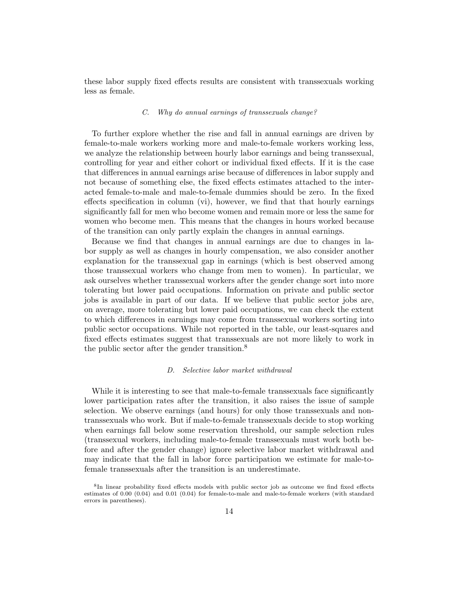these labor supply fixed effects results are consistent with transsexuals working less as female.

#### C. Why do annual earnings of transsexuals change?

To further explore whether the rise and fall in annual earnings are driven by female-to-male workers working more and male-to-female workers working less, we analyze the relationship between hourly labor earnings and being transsexual, controlling for year and either cohort or individual fixed effects. If it is the case that differences in annual earnings arise because of differences in labor supply and not because of something else, the fixed effects estimates attached to the interacted female-to-male and male-to-female dummies should be zero. In the fixed effects specification in column (vi), however, we find that that hourly earnings significantly fall for men who become women and remain more or less the same for women who become men. This means that the changes in hours worked because of the transition can only partly explain the changes in annual earnings.

Because we find that changes in annual earnings are due to changes in labor supply as well as changes in hourly compensation, we also consider another explanation for the transsexual gap in earnings (which is best observed among those transsexual workers who change from men to women). In particular, we ask ourselves whether transsexual workers after the gender change sort into more tolerating but lower paid occupations. Information on private and public sector jobs is available in part of our data. If we believe that public sector jobs are, on average, more tolerating but lower paid occupations, we can check the extent to which differences in earnings may come from transsexual workers sorting into public sector occupations. While not reported in the table, our least-squares and fixed effects estimates suggest that transsexuals are not more likely to work in the public sector after the gender transition.<sup>8</sup>

#### D. Selective labor market withdrawal

While it is interesting to see that male-to-female transsexuals face significantly lower participation rates after the transition, it also raises the issue of sample selection. We observe earnings (and hours) for only those transsexuals and nontranssexuals who work. But if male-to-female transsexuals decide to stop working when earnings fall below some reservation threshold, our sample selection rules (transsexual workers, including male-to-female transsexuals must work both before and after the gender change) ignore selective labor market withdrawal and may indicate that the fall in labor force participation we estimate for male-tofemale transsexuals after the transition is an underestimate.

<sup>8</sup> In linear probability fixed effects models with public sector job as outcome we find fixed effects estimates of 0.00 (0.04) and 0.01 (0.04) for female-to-male and male-to-female workers (with standard errors in parentheses).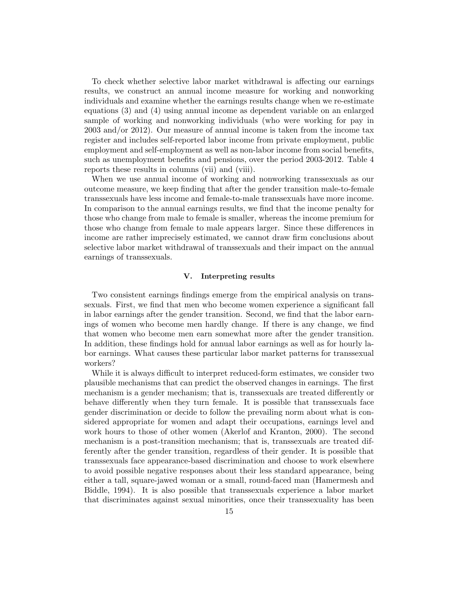To check whether selective labor market withdrawal is affecting our earnings results, we construct an annual income measure for working and nonworking individuals and examine whether the earnings results change when we re-estimate equations (3) and (4) using annual income as dependent variable on an enlarged sample of working and nonworking individuals (who were working for pay in 2003 and/or 2012). Our measure of annual income is taken from the income tax register and includes self-reported labor income from private employment, public employment and self-employment as well as non-labor income from social benefits, such as unemployment benefits and pensions, over the period 2003-2012. Table 4 reports these results in columns (vii) and (viii).

When we use annual income of working and nonworking transsexuals as our outcome measure, we keep finding that after the gender transition male-to-female transsexuals have less income and female-to-male transsexuals have more income. In comparison to the annual earnings results, we find that the income penalty for those who change from male to female is smaller, whereas the income premium for those who change from female to male appears larger. Since these differences in income are rather imprecisely estimated, we cannot draw firm conclusions about selective labor market withdrawal of transsexuals and their impact on the annual earnings of transsexuals.

#### V. Interpreting results

Two consistent earnings findings emerge from the empirical analysis on transsexuals. First, we find that men who become women experience a significant fall in labor earnings after the gender transition. Second, we find that the labor earnings of women who become men hardly change. If there is any change, we find that women who become men earn somewhat more after the gender transition. In addition, these findings hold for annual labor earnings as well as for hourly labor earnings. What causes these particular labor market patterns for transsexual workers?

While it is always difficult to interpret reduced-form estimates, we consider two plausible mechanisms that can predict the observed changes in earnings. The first mechanism is a gender mechanism; that is, transsexuals are treated differently or behave differently when they turn female. It is possible that transsexuals face gender discrimination or decide to follow the prevailing norm about what is considered appropriate for women and adapt their occupations, earnings level and work hours to those of other women (Akerlof and Kranton, 2000). The second mechanism is a post-transition mechanism; that is, transsexuals are treated differently after the gender transition, regardless of their gender. It is possible that transsexuals face appearance-based discrimination and choose to work elsewhere to avoid possible negative responses about their less standard appearance, being either a tall, square-jawed woman or a small, round-faced man (Hamermesh and Biddle, 1994). It is also possible that transsexuals experience a labor market that discriminates against sexual minorities, once their transsexuality has been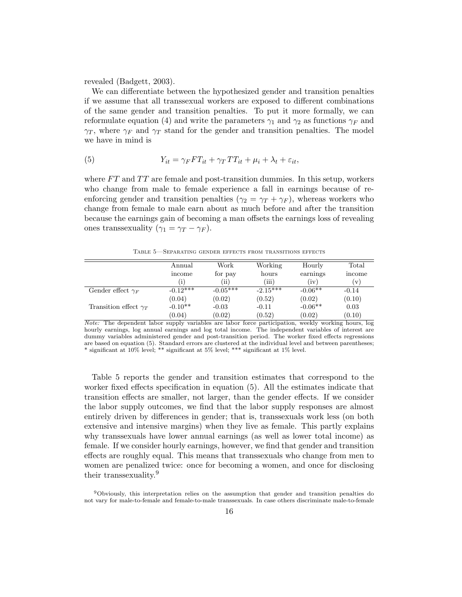revealed (Badgett, 2003).

We can differentiate between the hypothesized gender and transition penalties if we assume that all transsexual workers are exposed to different combinations of the same gender and transition penalties. To put it more formally, we can reformulate equation (4) and write the parameters  $\gamma_1$  and  $\gamma_2$  as functions  $\gamma_F$  and  $\gamma_T$ , where  $\gamma_F$  and  $\gamma_T$  stand for the gender and transition penalties. The model we have in mind is

(5) 
$$
Y_{it} = \gamma_F F T_{it} + \gamma_T T T_{it} + \mu_i + \lambda_t + \varepsilon_{it},
$$

where  $FT$  and  $TT$  are female and post-transition dummies. In this setup, workers who change from male to female experience a fall in earnings because of reenforcing gender and transition penalties ( $\gamma_2 = \gamma_T + \gamma_F$ ), whereas workers who change from female to male earn about as much before and after the transition because the earnings gain of becoming a man offsets the earnings loss of revealing ones transsexuality ( $\gamma_1 = \gamma_T - \gamma_F$ ).

Table 5—Separating gender effects from transitions effects

|                                | Annual     | Work       | Working    | Hourly    | Total         |
|--------------------------------|------------|------------|------------|-----------|---------------|
|                                | income     | for pay    | hours      | earnings  | income        |
|                                | [i]        | $\rm (ii)$ | (iii)      | (iv)      | $\mathbf{v})$ |
| Gender effect $\gamma_F$       | $-0.12***$ | $-0.05***$ | $-2.15***$ | $-0.06**$ | $-0.14$       |
|                                | (0.04)     | (0.02)     | (0.52)     | (0.02)    | (0.10)        |
| Transition effect $\gamma_T$   | $-0.10**$  | $-0.03$    | $-0.11$    | $-0.06**$ | 0.03          |
|                                | (0.04)     | (0.02)     | (0.52)     | (0.02)    | (0.10)        |
| ___<br>$\sim$ $\sim$<br>$\sim$ |            |            |            |           |               |

Note: The dependent labor supply variables are labor force participation, weekly working hours, log hourly earnings, log annual earnings and log total income. The independent variables of interest are dummy variables administered gender and post-transition period. The worker fixed effects regressions are based on equation (5). Standard errors are clustered at the individual level and between parentheses; \* significant at 10% level; \*\* significant at 5% level; \*\*\* significant at 1% level.

Table 5 reports the gender and transition estimates that correspond to the worker fixed effects specification in equation (5). All the estimates indicate that transition effects are smaller, not larger, than the gender effects. If we consider the labor supply outcomes, we find that the labor supply responses are almost entirely driven by differences in gender; that is, transsexuals work less (on both extensive and intensive margins) when they live as female. This partly explains why transsexuals have lower annual earnings (as well as lower total income) as female. If we consider hourly earnings, however, we find that gender and transition effects are roughly equal. This means that transsexuals who change from men to women are penalized twice: once for becoming a women, and once for disclosing their transsexuality.<sup>9</sup>

<sup>9</sup>Obviously, this interpretation relies on the assumption that gender and transition penalties do not vary for male-to-female and female-to-male transsexuals. In case others discriminate male-to-female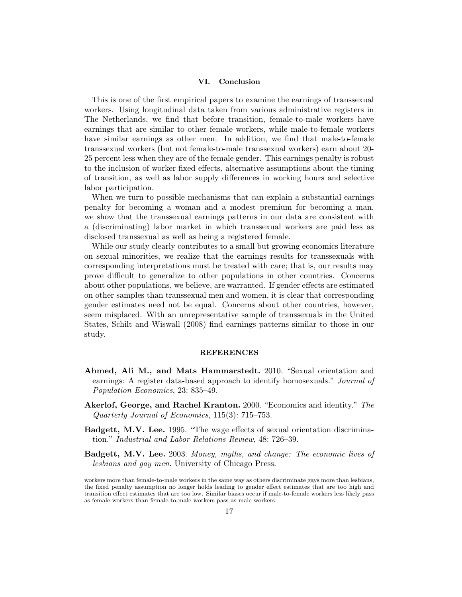#### VI. Conclusion

This is one of the first empirical papers to examine the earnings of transsexual workers. Using longitudinal data taken from various administrative registers in The Netherlands, we find that before transition, female-to-male workers have earnings that are similar to other female workers, while male-to-female workers have similar earnings as other men. In addition, we find that male-to-female transsexual workers (but not female-to-male transsexual workers) earn about 20- 25 percent less when they are of the female gender. This earnings penalty is robust to the inclusion of worker fixed effects, alternative assumptions about the timing of transition, as well as labor supply differences in working hours and selective labor participation.

When we turn to possible mechanisms that can explain a substantial earnings penalty for becoming a woman and a modest premium for becoming a man, we show that the transsexual earnings patterns in our data are consistent with a (discriminating) labor market in which transsexual workers are paid less as disclosed transsexual as well as being a registered female.

While our study clearly contributes to a small but growing economics literature on sexual minorities, we realize that the earnings results for transsexuals with corresponding interpretations must be treated with care; that is, our results may prove difficult to generalize to other populations in other countries. Concerns about other populations, we believe, are warranted. If gender effects are estimated on other samples than transsexual men and women, it is clear that corresponding gender estimates need not be equal. Concerns about other countries, however, seem misplaced. With an unrepresentative sample of transsexuals in the United States, Schilt and Wiswall (2008) find earnings patterns similar to those in our study.

#### **REFERENCES**

- Ahmed, Ali M., and Mats Hammarstedt. 2010. "Sexual orientation and earnings: A register data-based approach to identify homosexuals." Journal of Population Economics, 23: 835–49.
- Akerlof, George, and Rachel Kranton. 2000. "Economics and identity." The Quarterly Journal of Economics, 115(3): 715–753.
- Badgett, M.V. Lee. 1995. "The wage effects of sexual orientation discrimination." Industrial and Labor Relations Review, 48: 726–39.
- Badgett, M.V. Lee. 2003. Money, myths, and change: The economic lives of lesbians and gay men. University of Chicago Press.

workers more than female-to-male workers in the same way as others discriminate gays more than lesbians, the fixed penalty assumption no longer holds leading to gender effect estimates that are too high and transition effect estimates that are too low. Similar biases occur if male-to-female workers less likely pass as female workers than female-to-male workers pass as male workers.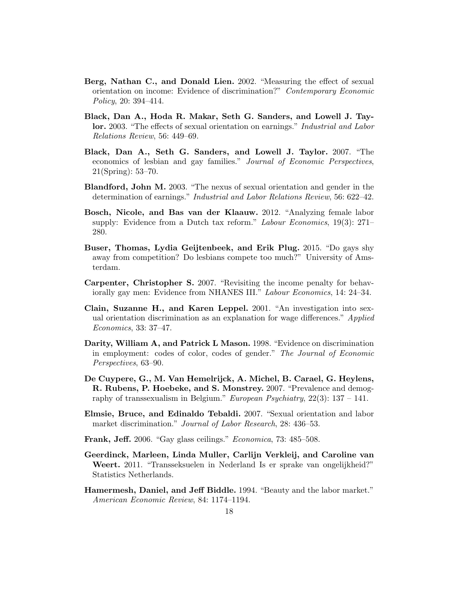- Berg, Nathan C., and Donald Lien. 2002. "Measuring the effect of sexual orientation on income: Evidence of discrimination?" Contemporary Economic Policy, 20: 394–414.
- Black, Dan A., Hoda R. Makar, Seth G. Sanders, and Lowell J. Taylor. 2003. "The effects of sexual orientation on earnings." Industrial and Labor Relations Review, 56: 449–69.
- Black, Dan A., Seth G. Sanders, and Lowell J. Taylor. 2007. "The economics of lesbian and gay families." Journal of Economic Perspectives, 21(Spring): 53–70.
- Blandford, John M. 2003. "The nexus of sexual orientation and gender in the determination of earnings." Industrial and Labor Relations Review, 56: 622–42.
- Bosch, Nicole, and Bas van der Klaauw. 2012. "Analyzing female labor supply: Evidence from a Dutch tax reform." Labour Economics, 19(3): 271– 280.
- Buser, Thomas, Lydia Geijtenbeek, and Erik Plug. 2015. "Do gays shy away from competition? Do lesbians compete too much?" University of Amsterdam.
- Carpenter, Christopher S. 2007. "Revisiting the income penalty for behaviorally gay men: Evidence from NHANES III." Labour Economics, 14: 24–34.
- Clain, Suzanne H., and Karen Leppel. 2001. "An investigation into sexual orientation discrimination as an explanation for wage differences." Applied Economics, 33: 37–47.
- Darity, William A, and Patrick L Mason. 1998. "Evidence on discrimination in employment: codes of color, codes of gender." The Journal of Economic Perspectives, 63–90.
- De Cuypere, G., M. Van Hemelrijck, A. Michel, B. Carael, G. Heylens, R. Rubens, P. Hoebeke, and S. Monstrey. 2007. "Prevalence and demography of transsexualism in Belgium." European Psychiatry,  $22(3)$ : 137 – 141.
- Elmsie, Bruce, and Edinaldo Tebaldi. 2007. "Sexual orientation and labor market discrimination." Journal of Labor Research, 28: 436–53.
- Frank, Jeff. 2006. "Gay glass ceilings." Economica, 73: 485–508.
- Geerdinck, Marleen, Linda Muller, Carlijn Verkleij, and Caroline van Weert. 2011. "Transseksuelen in Nederland Is er sprake van ongelijkheid?" Statistics Netherlands.
- Hamermesh, Daniel, and Jeff Biddle. 1994. "Beauty and the labor market." American Economic Review, 84: 1174–1194.